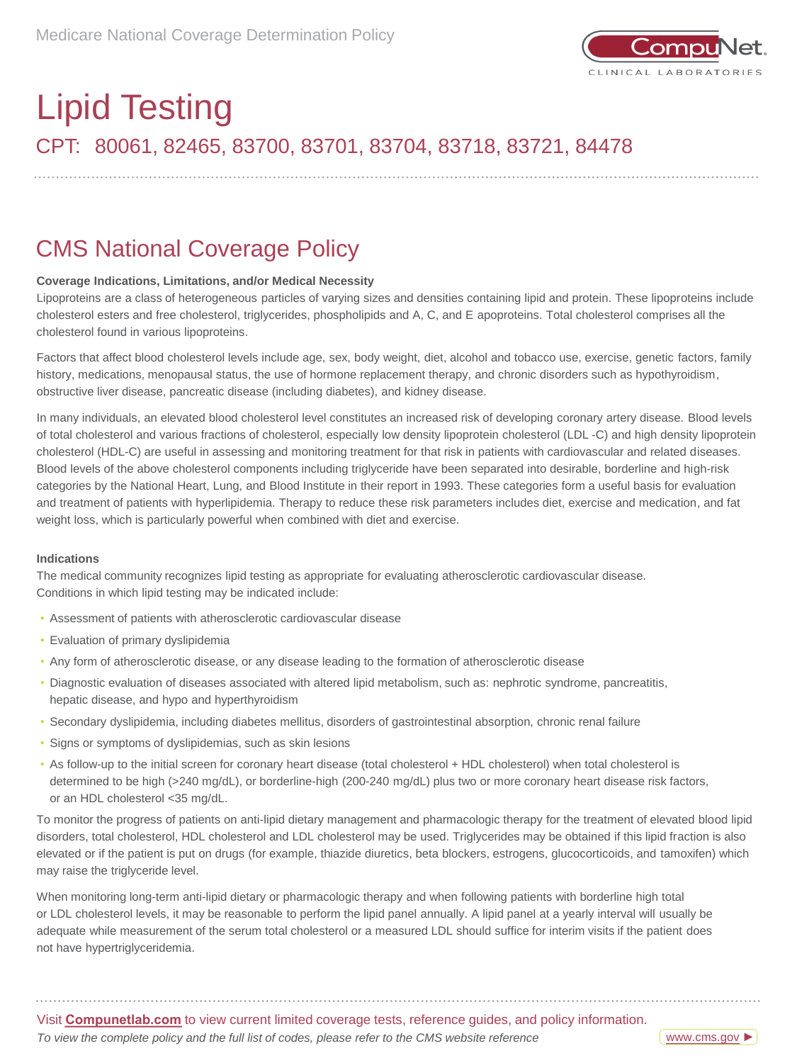

# CPT: 80061, 82465, 83700, 83701, 83704, 83718, 83721, 84478 Lipid Testing

### CMS National Coverage Policy

### **Coverage Indications, Limitations, and/or Medical Necessity**

Lipoproteins are a class of heterogeneous particles of varying sizes and densities containing lipid and protein. These lipoproteins include cholesterol esters and free cholesterol, triglycerides, phospholipids and A, C, and E apoproteins. Total cholesterol comprises all the cholesterol found in various lipoproteins.

Factors that affect blood cholesterol levels include age, sex, body weight, diet, alcohol and tobacco use, exercise, genetic factors, family history, medications, menopausal status, the use of hormone replacement therapy, and chronic disorders such as hypothyroidism, obstructive liver disease, pancreatic disease (including diabetes), and kidney disease.

In many individuals, an elevated blood cholesterol level constitutes an increased risk of developing coronary artery disease. Blood levels of total cholesterol and various fractions of cholesterol, especially low density lipoprotein cholesterol (LDL -C) and high density lipoprotein cholesterol (HDL-C) are useful in assessing and monitoring treatment for that risk in patients with cardiovascular and related diseases. Blood levels of the above cholesterol components including triglyceride have been separated into desirable, borderline and high-risk categories by the National Heart, Lung, and Blood Institute in their report in 1993. These categories form a useful basis for evaluation and treatment of patients with hyperlipidemia. Therapy to reduce these risk parameters includes diet, exercise and medication, and fat weight loss, which is particularly powerful when combined with diet and exercise.

#### **Indications**

The medical community recognizes lipid testing as appropriate for evaluating atherosclerotic cardiovascular disease. Conditions in which lipid testing may be indicated include:

- Assessment of patients with atherosclerotic cardiovascular disease
- Evaluation of primary dyslipidemia
- Any form of atherosclerotic disease, or any disease leading to the formation of atherosclerotic disease
- Diagnostic evaluation of diseases associated with altered lipid metabolism, such as: nephrotic syndrome, pancreatitis, hepatic disease, and hypo and hyperthyroidism
- Secondary dyslipidemia, including diabetes mellitus, disorders of gastrointestinal absorption, chronic renal failure
- Signs or symptoms of dyslipidemias, such as skin lesions
- As follow-up to the initial screen for coronary heart disease (total cholesterol + HDL cholesterol) when total cholesterol is determined to be high (>240 mg/dL), or borderline-high (200-240 mg/dL) plus two or more coronary heart disease risk factors, or an HDL cholesterol <35 mg/dL.

To monitor the progress of patients on anti-lipid dietary management and pharmacologic therapy for the treatment of elevated blood lipid disorders, total cholesterol, HDL cholesterol and LDL cholesterol may be used. Triglycerides may be obtained if this lipid fraction is also elevated or if the patient is put on drugs (for example, thiazide diuretics, beta blockers, estrogens, glucocorticoids, and tamoxifen) which may raise the triglyceride level.

When monitoring long-term anti-lipid dietary or pharmacologic therapy and when following patients with borderline high total or LDL cholesterol levels, it may be reasonable to perform the lipid panel annually. A lipid panel at a yearly interval will usually be adequate while measurement of the serum total cholesterol or a measured LDL should suffice for interim visits if the patient does not have hypertriglyceridemia.

Visit **[Compunetlab.com](http://www.questdiagnostics.com/home/physicians/medicare-coverage-guide.html)** to view current limited coverage tests, reference guides, and policy information. *To view the complete policy and the full list of codes, please refer to the CMS website reference*

[www.cms.gov](https://www.questdiagnostics.com/content/dam/corporate/restricted/documents/mlcp/mlcp/icd-10-ncd-manual/2020300_ICD_10_NCD_Manual_20200407_508.pdf) ►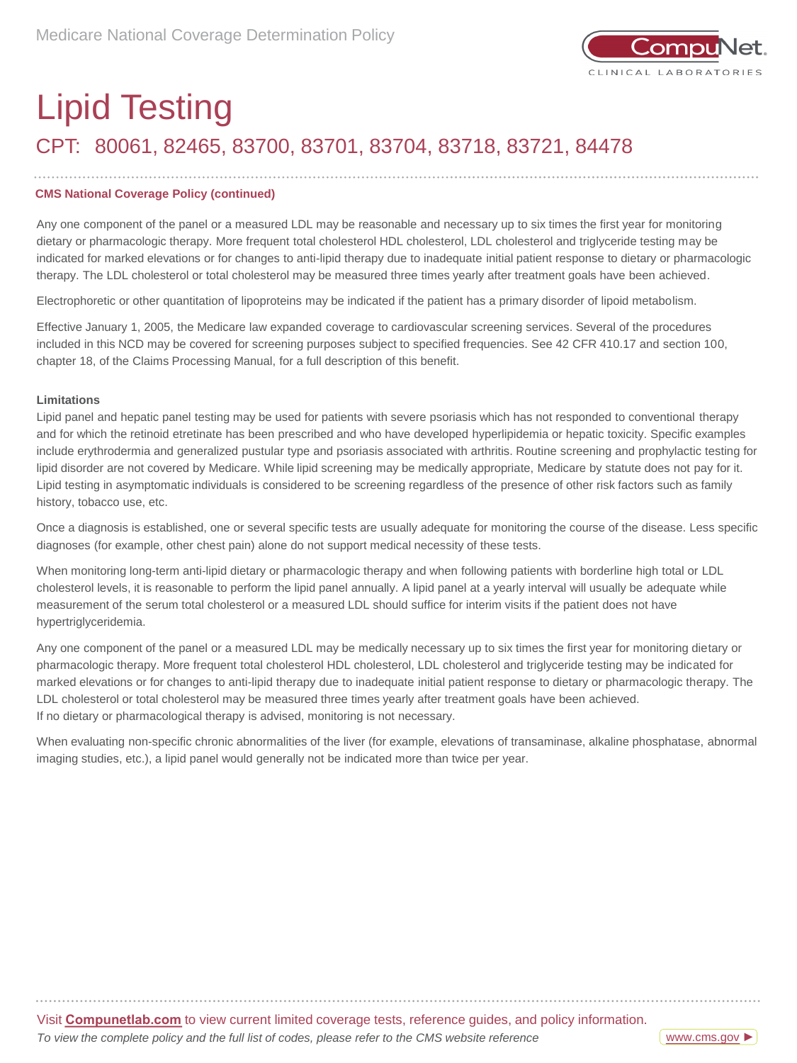

## CPT: 80061, 82465, 83700, 83701, 83704, 83718, 83721, 84478 Lipid Testing

### **CMS National Coverage Policy (continued)**

Any one component of the panel or a measured LDL may be reasonable and necessary up to six times the first year for monitoring dietary or pharmacologic therapy. More frequent total cholesterol HDL cholesterol, LDL cholesterol and triglyceride testing may be indicated for marked elevations or for changes to anti-lipid therapy due to inadequate initial patient response to dietary or pharmacologic therapy. The LDL cholesterol or total cholesterol may be measured three times yearly after treatment goals have been achieved.

Electrophoretic or other quantitation of lipoproteins may be indicated if the patient has a primary disorder of lipoid metabolism.

Effective January 1, 2005, the Medicare law expanded coverage to cardiovascular screening services. Several of the procedures included in this NCD may be covered for screening purposes subject to specified frequencies. See 42 CFR 410.17 and section 100, chapter 18, of the Claims Processing Manual, for a full description of this benefit.

#### **Limitations**

Lipid panel and hepatic panel testing may be used for patients with severe psoriasis which has not responded to conventional therapy and for which the retinoid etretinate has been prescribed and who have developed hyperlipidemia or hepatic toxicity. Specific examples include erythrodermia and generalized pustular type and psoriasis associated with arthritis. Routine screening and prophylactic testing for lipid disorder are not covered by Medicare. While lipid screening may be medically appropriate, Medicare by statute does not pay for it. Lipid testing in asymptomatic individuals is considered to be screening regardless of the presence of other risk factors such as family history, tobacco use, etc.

Once a diagnosis is established, one or several specific tests are usually adequate for monitoring the course of the disease. Less specific diagnoses (for example, other chest pain) alone do not support medical necessity of these tests.

When monitoring long-term anti-lipid dietary or pharmacologic therapy and when following patients with borderline high total or LDL cholesterol levels, it is reasonable to perform the lipid panel annually. A lipid panel at a yearly interval will usually be adequate while measurement of the serum total cholesterol or a measured LDL should suffice for interim visits if the patient does not have hypertriglyceridemia.

Any one component of the panel or a measured LDL may be medically necessary up to six times the first year for monitoring dietary or pharmacologic therapy. More frequent total cholesterol HDL cholesterol, LDL cholesterol and triglyceride testing may be indicated for marked elevations or for changes to anti-lipid therapy due to inadequate initial patient response to dietary or pharmacologic therapy. The LDL cholesterol or total cholesterol may be measured three times yearly after treatment goals have been achieved. If no dietary or pharmacological therapy is advised, monitoring is not necessary.

When evaluating non-specific chronic abnormalities of the liver (for example, elevations of transaminase, alkaline phosphatase, abnormal imaging studies, etc.), a lipid panel would generally not be indicated more than twice per year.

Visit **Compunetlab.com** to view current limited coverage tests, reference guides, and policy information. *To view the complete policy and the full list of codes, please refer to the CMS website reference*